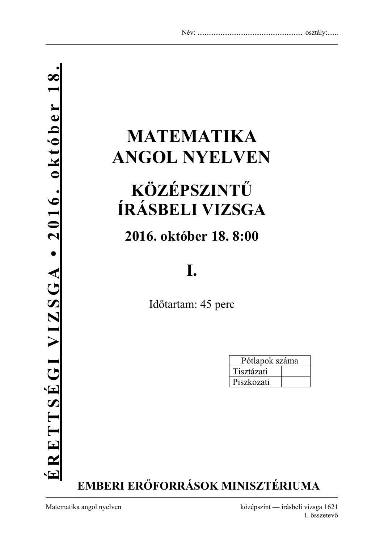# **MATEMATIKA ANGOL NYELVEN**

# **KÖZÉPSZINTŰ ÍRÁSBELI VIZSGA**

## **2016. október 18. 8:00**

## **I.**

Időtartam: 45 perc

| Pótlapok száma |  |
|----------------|--|
| Tisztázati     |  |
| Piszkozati     |  |

**EMBERI ERŐFORRÁSOK MINISZTÉRIUMA**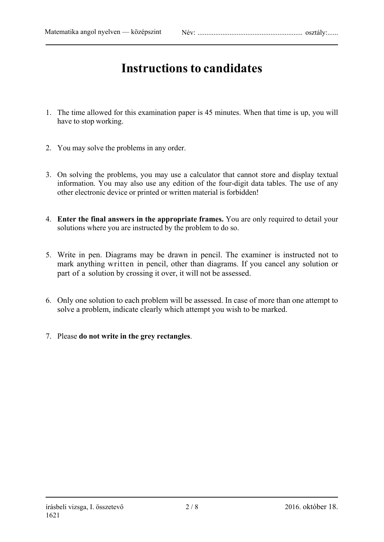## **Instructions to candidates**

- 1. The time allowed for this examination paper is 45 minutes. When that time is up, you will have to stop working.
- 2. You may solve the problems in any order.
- 3. On solving the problems, you may use a calculator that cannot store and display textual information. You may also use any edition of the four-digit data tables. The use of any other electronic device or printed or written material is forbidden!
- 4. **Enter the final answers in the appropriate frames.** You are only required to detail your solutions where you are instructed by the problem to do so.
- 5. Write in pen. Diagrams may be drawn in pencil. The examiner is instructed not to mark anything written in pencil, other than diagrams. If you cancel any solution or part of a solution by crossing it over, it will not be assessed.
- 6. Only one solution to each problem will be assessed. In case of more than one attempt to solve a problem, indicate clearly which attempt you wish to be marked.
- 7. Please **do not write in the grey rectangles**.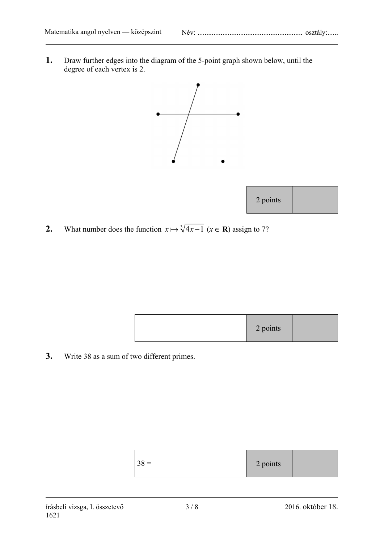**1.** Draw further edges into the diagram of the 5-point graph shown below, until the degree of each vertex is 2.



| 2 points |  |
|----------|--|
|----------|--|

**2.** What number does the function  $x \mapsto \sqrt[3]{4x-1}$  ( $x \in \mathbb{R}$ ) assign to 7?

| 2 points |
|----------|
|----------|

**3.** Write 38 as a sum of two different primes.

| $\Omega$<br>$\mathbf{r} =$<br>IJΟ | 2 points |  |
|-----------------------------------|----------|--|
|-----------------------------------|----------|--|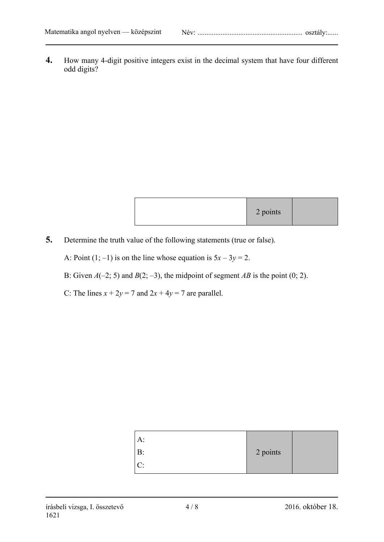**4.** How many 4-digit positive integers exist in the decimal system that have four different odd digits?

|  | 2 points |  |
|--|----------|--|
|--|----------|--|

**5.** Determine the truth value of the following statements (true or false).

A: Point  $(1, -1)$  is on the line whose equation is  $5x - 3y = 2$ .

B: Given  $A(-2; 5)$  and  $B(2; -3)$ , the midpoint of segment *AB* is the point (0; 2).

C: The lines  $x + 2y = 7$  and  $2x + 4y = 7$  are parallel.

| A: |          |  |
|----|----------|--|
| B: | 2 points |  |
| J. |          |  |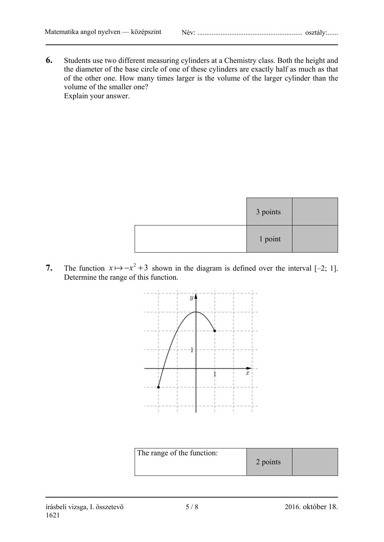**6.** Students use two different measuring cylinders at a Chemistry class. Both the height and the diameter of the base circle of one of these cylinders are exactly half as much as that of the other one. How many times larger is the volume of the larger cylinder than the volume of the smaller one?

Explain your answer.

| 3 points |  |
|----------|--|
| 1 point  |  |

**7.** The function  $x \mapsto -x^2 + 3$  shown in the diagram is defined over the interval [-2; 1]. Determine the range of this function.



| The range of the function: | 2 points |  |
|----------------------------|----------|--|
|----------------------------|----------|--|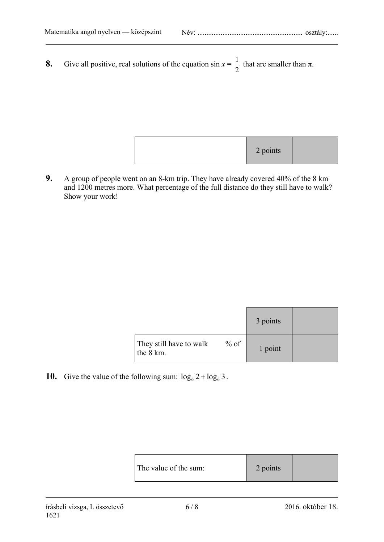**8.** Give all positive, real solutions of the equation  $\sin x =$ 2  $\frac{1}{2}$  that are smaller than π.

| 2 points |
|----------|
|----------|

**9.** A group of people went on an 8-km trip. They have already covered 40% of the 8 km and 1200 metres more. What percentage of the full distance do they still have to walk? Show your work!

|                                                | 3 points |  |
|------------------------------------------------|----------|--|
| They still have to walk<br>$%$ of<br>the 8 km. | 1 point  |  |

**10.** Give the value of the following sum:  $\log_6 2 + \log_6 3$ .

| The value of the sum: | 2 points |  |
|-----------------------|----------|--|
|-----------------------|----------|--|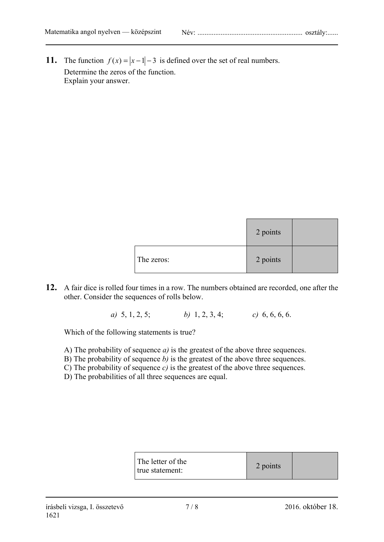**11.** The function  $f(x) = |x-1|-3$  is defined over the set of real numbers. Determine the zeros of the function. Explain your answer.

|            | 2 points |  |
|------------|----------|--|
| The zeros: | 2 points |  |

**12.** A fair dice is rolled four times in a row. The numbers obtained are recorded, one after the other. Consider the sequences of rolls below.

*a)* 5, 1, 2, 5; *b)* 1, 2, 3, 4; *c)* 6, 6, 6, 6.

Which of the following statements is true?

A) The probability of sequence *a)* is the greatest of the above three sequences.

B) The probability of sequence *b)* is the greatest of the above three sequences.

C) The probability of sequence *c)* is the greatest of the above three sequences.

D) The probabilities of all three sequences are equal.

| The letter of the<br>true statement: | 2 points |  |
|--------------------------------------|----------|--|
|--------------------------------------|----------|--|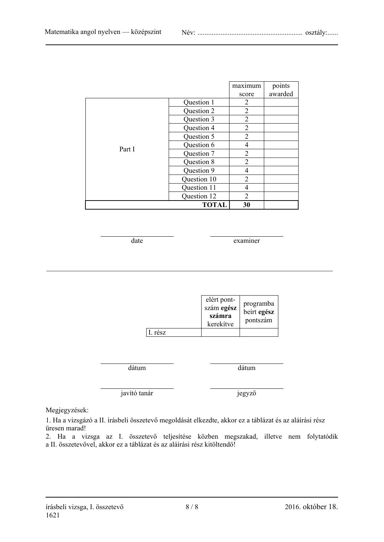|        |              | maximum        | points  |
|--------|--------------|----------------|---------|
|        |              | score          | awarded |
|        | Question 1   | 2              |         |
|        | Question 2   | $\overline{2}$ |         |
|        | Question 3   | $\overline{2}$ |         |
|        | Question 4   | $\overline{2}$ |         |
|        | Question 5   | $\overline{2}$ |         |
|        | Question 6   | 4              |         |
| Part I | Question 7   | $\overline{2}$ |         |
|        | Question 8   | 2              |         |
|        | Question 9   | 4              |         |
|        | Question 10  | $\overline{2}$ |         |
|        | Question 11  | 4              |         |
|        | Question 12  | $\overline{2}$ |         |
|        | <b>TOTAL</b> | 30             |         |

date examiner



dátum dátum dátum dátum dátum dátum dátum dátum dátum dátum dátum dátum dátum dátum dátum dátum dátum dátum dátum dátum dátum dátum dátum dátum dátum dátum dátum dátum dátum dátum dátum dátum dátum dátum dátum dátum dátum

javító tanár jegyző

#### Megjegyzések:

1. Ha a vizsgázó a II. írásbeli összetevő megoldását elkezdte, akkor ez a táblázat és az aláírási rész üresen marad!

2. Ha a vizsga az I. összetevő teljesítése közben megszakad, illetve nem folytatódik a II. összetevővel, akkor ez a táblázat és az aláírási rész kitöltendő!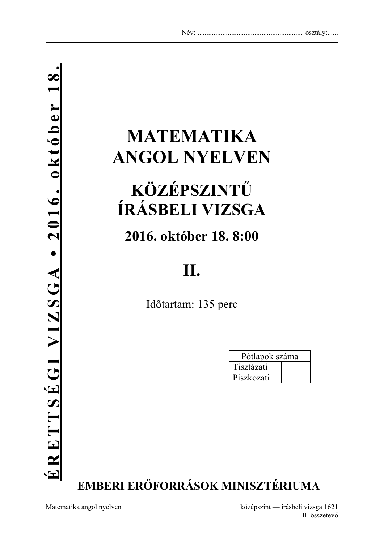# **MATEMATIKA ANGOL NYELVEN**

# **KÖZÉPSZINTŰ ÍRÁSBELI VIZSGA**

## **2016. október 18. 8:00**

## **II.**

Időtartam: 135 perc

| Pótlapok száma |  |  |  |
|----------------|--|--|--|
| Tisztázati     |  |  |  |
| Piszkozati     |  |  |  |

**EMBERI ERŐFORRÁSOK MINISZTÉRIUMA**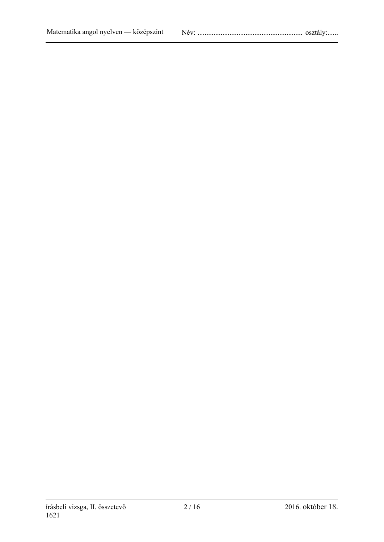| Matematika angol nyelven — középszint |  |  |
|---------------------------------------|--|--|
|---------------------------------------|--|--|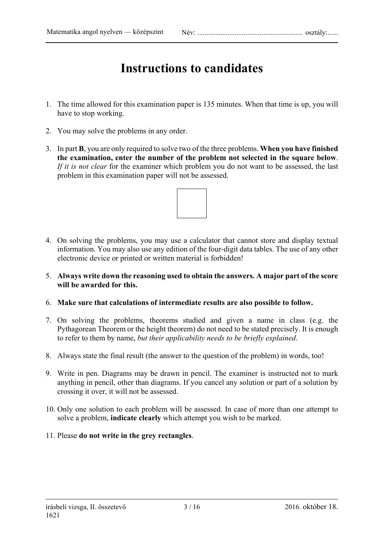## **Instructions to candidates**

- 1. The time allowed for this examination paper is 135 minutes. When that time is up, you will have to stop working.
- 2. You may solve the problems in any order.
- 3. In part **B**, you are only required to solve two of the three problems. **When you have finished the examination, enter the number of the problem not selected in the square below**. *If it is not clear* for the examiner which problem you do not want to be assessed, the last problem in this examination paper will not be assessed.



- 4. On solving the problems, you may use a calculator that cannot store and display textual information. You may also use any edition of the four-digit data tables. The use of any other electronic device or printed or written material is forbidden!
- 5. **Always write down the reasoning used to obtain the answers. A major part of the score will be awarded for this.**
- 6. **Make sure that calculations of intermediate results are also possible to follow.**
- 7. On solving the problems, theorems studied and given a name in class (e.g. the Pythagorean Theorem or the height theorem) do not need to be stated precisely. It is enough to refer to them by name, *but their applicability needs to be briefly explained*.
- 8. Always state the final result (the answer to the question of the problem) in words, too!
- 9. Write in pen. Diagrams may be drawn in pencil. The examiner is instructed not to mark anything in pencil, other than diagrams. If you cancel any solution or part of a solution by crossing it over, it will not be assessed.
- 10. Only one solution to each problem will be assessed. In case of more than one attempt to solve a problem, **indicate clearly** which attempt you wish to be marked.
- 11. Please **do not write in the grey rectangles**.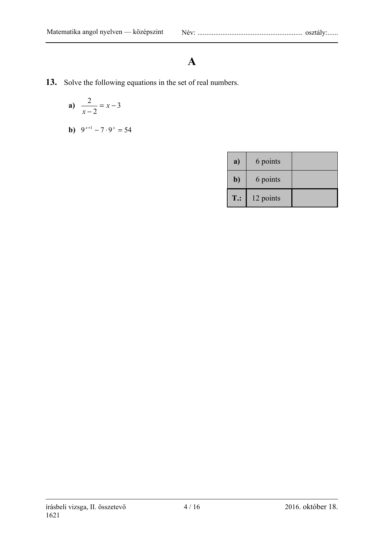### **A**

**13.** Solve the following equations in the set of real numbers.

$$
a) \quad \frac{2}{x-2} = x-3
$$

**b)** 
$$
9^{x+1} - 7 \cdot 9^x = 54
$$

| a)           | 6 points  |  |
|--------------|-----------|--|
| $\mathbf{b}$ | 6 points  |  |
| $T$ .:       | 12 points |  |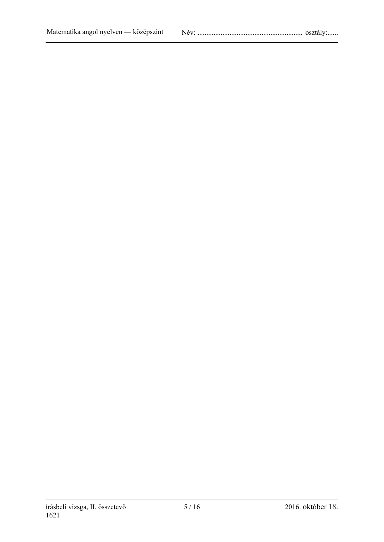| Matematika angol nyelven — középszint |  |  |
|---------------------------------------|--|--|
|---------------------------------------|--|--|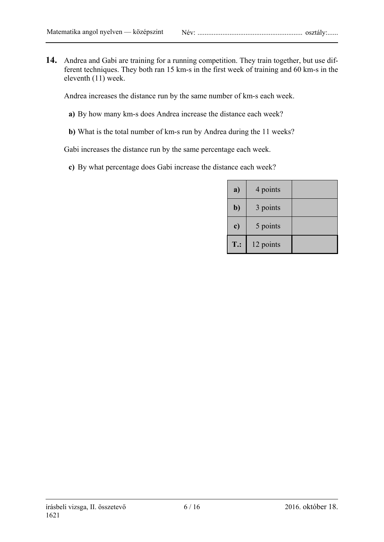**14.** Andrea and Gabi are training for a running competition. They train together, but use different techniques. They both ran 15 km-s in the first week of training and 60 km-s in the eleventh (11) week.

Andrea increases the distance run by the same number of km-s each week.

- **a)** By how many km-s does Andrea increase the distance each week?
- **b)** What is the total number of km-s run by Andrea during the 11 weeks?

Gabi increases the distance run by the same percentage each week.

**c)** By what percentage does Gabi increase the distance each week?

| a)           | 4 points  |  |
|--------------|-----------|--|
| $\mathbf{b}$ | 3 points  |  |
| c)           | 5 points  |  |
| $T$ .:       | 12 points |  |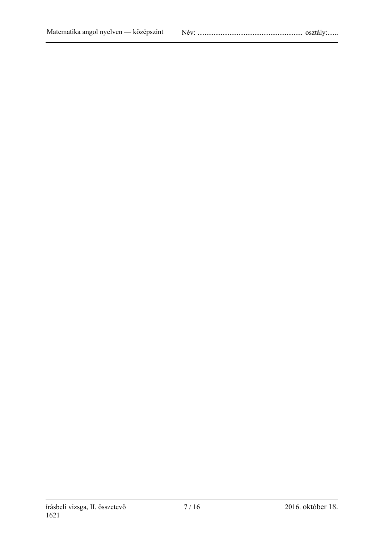| Matematika angol nyelven — középszint |  |  |
|---------------------------------------|--|--|
|---------------------------------------|--|--|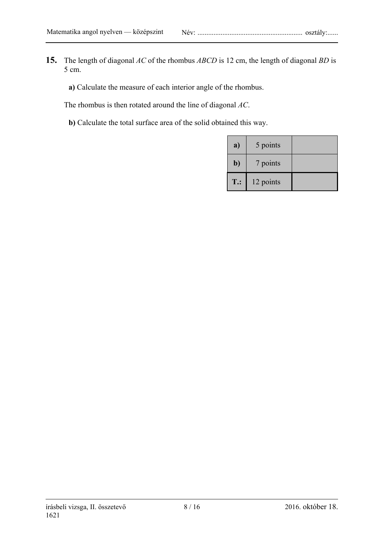**15.** The length of diagonal *AC* of the rhombus *ABCD* is 12 cm, the length of diagonal *BD* is 5 cm.

**a)** Calculate the measure of each interior angle of the rhombus.

The rhombus is then rotated around the line of diagonal *AC*.

**b)** Calculate the total surface area of the solid obtained this way.

| a)           | 5 points  |  |
|--------------|-----------|--|
| $\mathbf{b}$ | 7 points  |  |
| $T$ .:       | 12 points |  |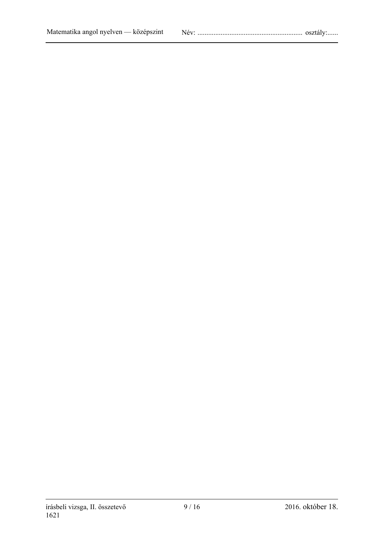| Matematika angol nyelven — középszint |  |  |
|---------------------------------------|--|--|
|---------------------------------------|--|--|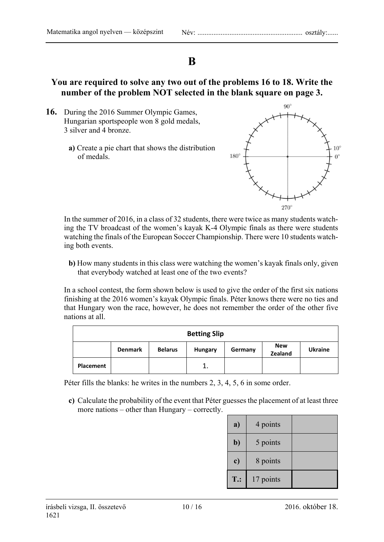### **B**

#### **You are required to solve any two out of the problems 16 to 18. Write the number of the problem NOT selected in the blank square on page 3.**

- **16.** During the 2016 Summer Olympic Games, Hungarian sportspeople won 8 gold medals, 3 silver and 4 bronze.
	- **a)** Create a pie chart that shows the distribution of medals.



In the summer of 2016, in a class of 32 students, there were twice as many students watching the TV broadcast of the women's kayak K-4 Olympic finals as there were students watching the finals of the European Soccer Championship. There were 10 students watching both events.

**b)** How many students in this class were watching the women's kayak finals only, given that everybody watched at least one of the two events?

In a school contest, the form shown below is used to give the order of the first six nations finishing at the 2016 women's kayak Olympic finals. Péter knows there were no ties and that Hungary won the race, however, he does not remember the order of the other five nations at all.

|                                                                                               | <b>Betting Slip</b> |  |    |  |                |  |
|-----------------------------------------------------------------------------------------------|---------------------|--|----|--|----------------|--|
| <b>New</b><br><b>Denmark</b><br><b>Belarus</b><br><b>Hungary</b><br>Germany<br><b>Zealand</b> |                     |  |    |  | <b>Ukraine</b> |  |
| <b>Placement</b>                                                                              |                     |  | 1. |  |                |  |

Péter fills the blanks: he writes in the numbers 2, 3, 4, 5, 6 in some order.

**c)** Calculate the probability of the event that Péter guesses the placement of at least three more nations – other than Hungary – correctly.

| a)            | 4 points  |  |
|---------------|-----------|--|
| $\mathbf{b}$  | 5 points  |  |
| $\mathbf{c})$ | 8 points  |  |
| <b>T.:</b>    | 17 points |  |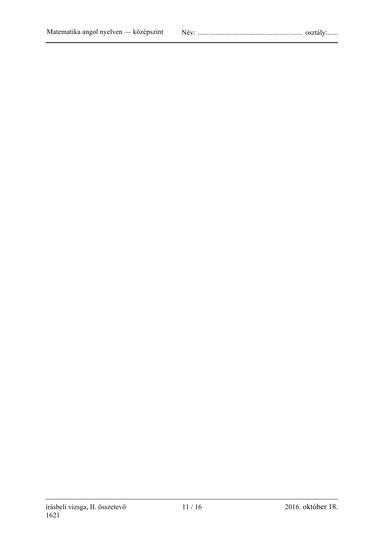| Matematika angol nyelven — középszint |  |  |
|---------------------------------------|--|--|
|---------------------------------------|--|--|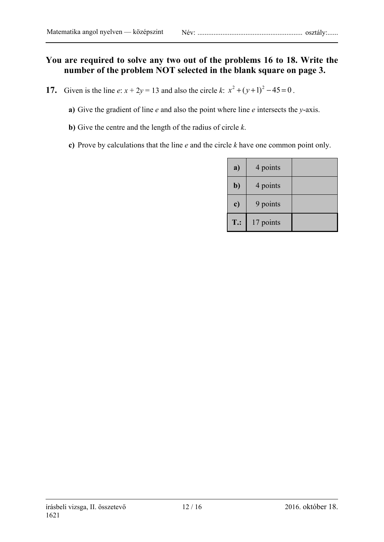#### **You are required to solve any two out of the problems 16 to 18. Write the number of the problem NOT selected in the blank square on page 3.**

- **17.** Given is the line *e*:  $x + 2y = 13$  and also the circle *k*:  $x^2 + (y+1)^2 45 = 0$ .
	- **a)** Give the gradient of line *e* and also the point where line *e* intersects the *y*-axis.
	- **b)** Give the centre and the length of the radius of circle *k*.
	- **c)** Prove by calculations that the line *e* and the circle *k* have one common point only.

| a)         | 4 points  |  |
|------------|-----------|--|
| b)         | 4 points  |  |
| c)         | 9 points  |  |
| <b>T.:</b> | 17 points |  |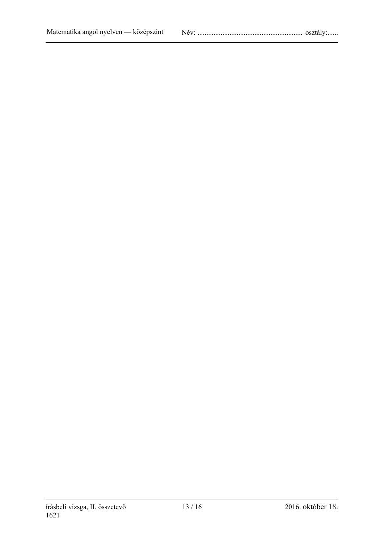| Matematika angol nyelven — középszint |  |  |
|---------------------------------------|--|--|
|---------------------------------------|--|--|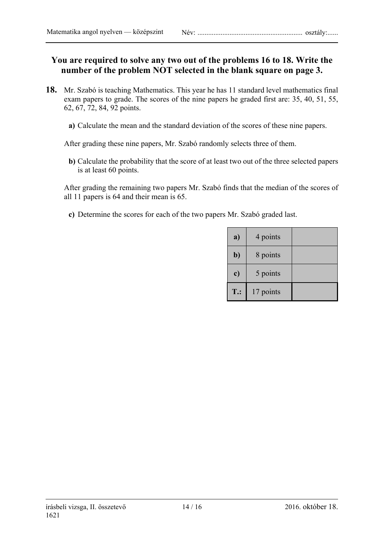#### **You are required to solve any two out of the problems 16 to 18. Write the number of the problem NOT selected in the blank square on page 3.**

- **18.** Mr. Szabó is teaching Mathematics. This year he has 11 standard level mathematics final exam papers to grade. The scores of the nine papers he graded first are: 35, 40, 51, 55, 62, 67, 72, 84, 92 points.
	- **a)** Calculate the mean and the standard deviation of the scores of these nine papers.

After grading these nine papers, Mr. Szabó randomly selects three of them.

**b)** Calculate the probability that the score of at least two out of the three selected papers is at least 60 points.

After grading the remaining two papers Mr. Szabó finds that the median of the scores of all 11 papers is 64 and their mean is 65.

**c)** Determine the scores for each of the two papers Mr. Szabó graded last.

| a)            | 4 points  |  |
|---------------|-----------|--|
| $\mathbf{b}$  | 8 points  |  |
| $\mathbf{c})$ | 5 points  |  |
| $T$ .:        | 17 points |  |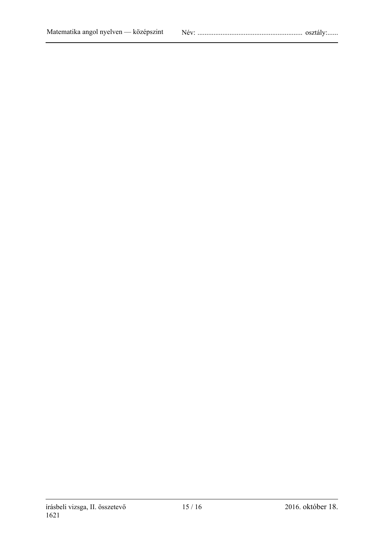| Matematika angol nyelven — középszint |  |  |
|---------------------------------------|--|--|
|---------------------------------------|--|--|